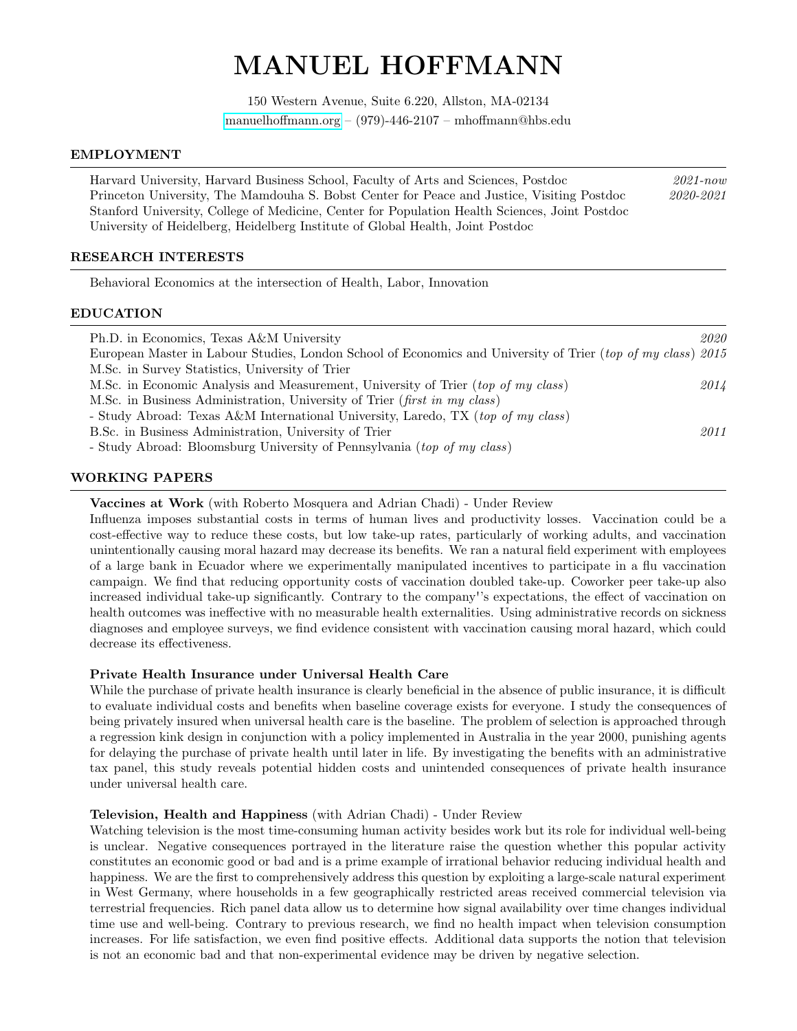# MANUEL HOFFMANN

150 Western Avenue, Suite 6.220, Allston, MA-02134 [manuelhoffmann.org](http://manuelhoffmann.org/) – (979)-446-2107 – mhoffmann@hbs.edu

#### EMPLOYMENT

Harvard University, Harvard Business School, Faculty of Arts and Sciences, Postdoc 2021-now Princeton University, The Mamdouha S. Bobst Center for Peace and Justice, Visiting Postdoc 2020-2021 Stanford University, College of Medicine, Center for Population Health Sciences, Joint Postdoc University of Heidelberg, Heidelberg Institute of Global Health, Joint Postdoc

# RESEARCH INTERESTS

Behavioral Economics at the intersection of Health, Labor, Innovation

#### EDUCATION

| 2020                                                                                                         |
|--------------------------------------------------------------------------------------------------------------|
| European Master in Labour Studies, London School of Economics and University of Trier (top of my class) 2015 |
|                                                                                                              |
| 2014                                                                                                         |
|                                                                                                              |
|                                                                                                              |
| 2011                                                                                                         |
|                                                                                                              |
|                                                                                                              |

# WORKING PAPERS

# Vaccines at Work (with Roberto Mosquera and Adrian Chadi) - Under Review

Influenza imposes substantial costs in terms of human lives and productivity losses. Vaccination could be a cost-effective way to reduce these costs, but low take-up rates, particularly of working adults, and vaccination unintentionally causing moral hazard may decrease its benefits. We ran a natural field experiment with employees of a large bank in Ecuador where we experimentally manipulated incentives to participate in a flu vaccination campaign. We find that reducing opportunity costs of vaccination doubled take-up. Coworker peer take-up also increased individual take-up significantly. Contrary to the company''s expectations, the effect of vaccination on health outcomes was ineffective with no measurable health externalities. Using administrative records on sickness diagnoses and employee surveys, we find evidence consistent with vaccination causing moral hazard, which could decrease its effectiveness.

# Private Health Insurance under Universal Health Care

While the purchase of private health insurance is clearly beneficial in the absence of public insurance, it is difficult to evaluate individual costs and benefits when baseline coverage exists for everyone. I study the consequences of being privately insured when universal health care is the baseline. The problem of selection is approached through a regression kink design in conjunction with a policy implemented in Australia in the year 2000, punishing agents for delaying the purchase of private health until later in life. By investigating the benefits with an administrative tax panel, this study reveals potential hidden costs and unintended consequences of private health insurance under universal health care.

# Television, Health and Happiness (with Adrian Chadi) - Under Review

Watching television is the most time-consuming human activity besides work but its role for individual well-being is unclear. Negative consequences portrayed in the literature raise the question whether this popular activity constitutes an economic good or bad and is a prime example of irrational behavior reducing individual health and happiness. We are the first to comprehensively address this question by exploiting a large-scale natural experiment in West Germany, where households in a few geographically restricted areas received commercial television via terrestrial frequencies. Rich panel data allow us to determine how signal availability over time changes individual time use and well-being. Contrary to previous research, we find no health impact when television consumption increases. For life satisfaction, we even find positive effects. Additional data supports the notion that television is not an economic bad and that non-experimental evidence may be driven by negative selection.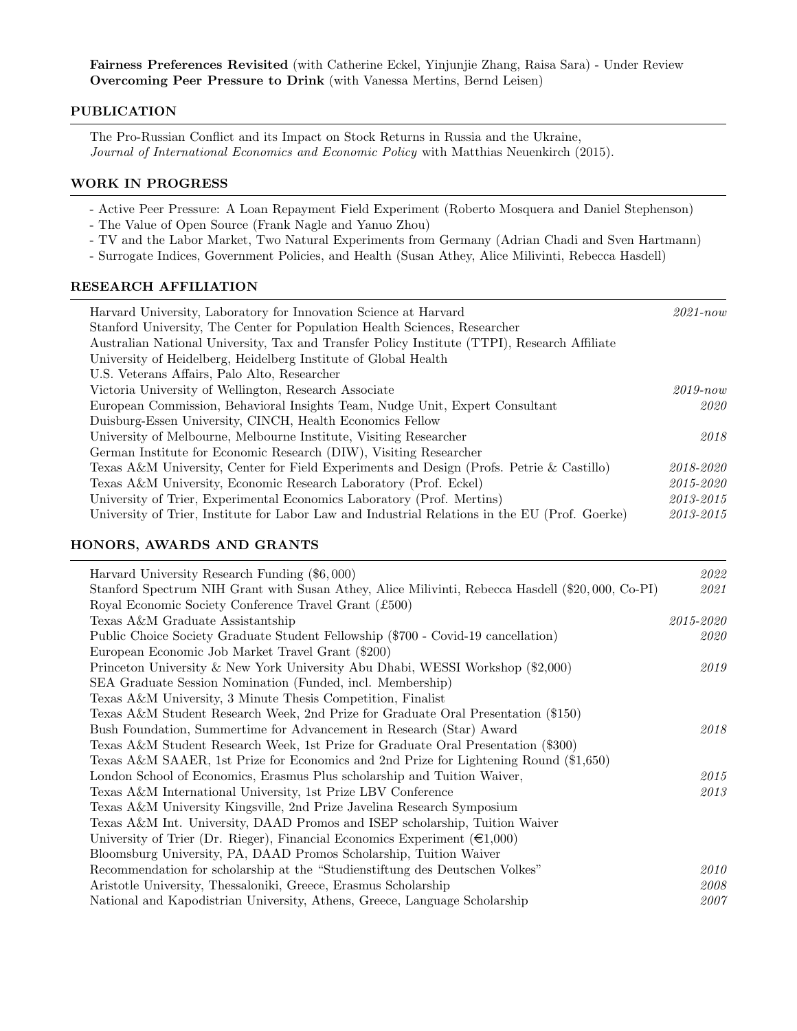Fairness Preferences Revisited (with Catherine Eckel, Yinjunjie Zhang, Raisa Sara) - Under Review Overcoming Peer Pressure to Drink (with Vanessa Mertins, Bernd Leisen)

# PUBLICATION

The Pro-Russian Conflict and its Impact on Stock Returns in Russia and the Ukraine, Journal of International Economics and Economic Policy with Matthias Neuenkirch (2015).

# WORK IN PROGRESS

- Active Peer Pressure: A Loan Repayment Field Experiment (Roberto Mosquera and Daniel Stephenson)
- The Value of Open Source (Frank Nagle and Yanuo Zhou)
- TV and the Labor Market, Two Natural Experiments from Germany (Adrian Chadi and Sven Hartmann)
- Surrogate Indices, Government Policies, and Health (Susan Athey, Alice Milivinti, Rebecca Hasdell)

# RESEARCH AFFILIATION

| Harvard University, Laboratory for Innovation Science at Harvard<br>Stanford University, The Center for Population Health Sciences, Researcher | $2021$ -now |
|------------------------------------------------------------------------------------------------------------------------------------------------|-------------|
|                                                                                                                                                |             |
| Australian National University, Tax and Transfer Policy Institute (TTPI), Research Affiliate                                                   |             |
| University of Heidelberg, Heidelberg Institute of Global Health                                                                                |             |
| U.S. Veterans Affairs, Palo Alto, Researcher                                                                                                   |             |
| Victoria University of Wellington, Research Associate                                                                                          | $2019$ -now |
| European Commission, Behavioral Insights Team, Nudge Unit, Expert Consultant                                                                   | 2020        |
| Duisburg-Essen University, CINCH, Health Economics Fellow                                                                                      |             |
| University of Melbourne, Melbourne Institute, Visiting Researcher                                                                              | 2018        |
| German Institute for Economic Research (DIW), Visiting Researcher                                                                              |             |
| Texas A&M University, Center for Field Experiments and Design (Profs. Petrie & Castillo)                                                       | 2018-2020   |
| Texas A&M University, Economic Research Laboratory (Prof. Eckel)                                                                               | 2015-2020   |
| University of Trier, Experimental Economics Laboratory (Prof. Mertins)                                                                         | 2013-2015   |
| University of Trier, Institute for Labor Law and Industrial Relations in the EU (Prof. Goerke)                                                 | 2013-2015   |

# HONORS, AWARDS AND GRANTS

| Harvard University Research Funding (\$6,000)                                                    | 2022      |
|--------------------------------------------------------------------------------------------------|-----------|
| Stanford Spectrum NIH Grant with Susan Athey, Alice Milivinti, Rebecca Hasdell (\$20,000, Co-PI) | 2021      |
| Royal Economic Society Conference Travel Grant (£500)                                            |           |
| Texas A&M Graduate Assistantship                                                                 | 2015-2020 |
| Public Choice Society Graduate Student Fellowship (\$700 - Covid-19 cancellation)                | 2020      |
| European Economic Job Market Travel Grant (\$200)                                                |           |
| Princeton University & New York University Abu Dhabi, WESSI Workshop (\$2,000)                   | 2019      |
| SEA Graduate Session Nomination (Funded, incl. Membership)                                       |           |
| Texas A&M University, 3 Minute Thesis Competition, Finalist                                      |           |
| Texas A&M Student Research Week, 2nd Prize for Graduate Oral Presentation (\$150)                |           |
| Bush Foundation, Summertime for Advancement in Research (Star) Award                             | 2018      |
| Texas A&M Student Research Week, 1st Prize for Graduate Oral Presentation (\$300)                |           |
| Texas A&M SAAER, 1st Prize for Economics and 2nd Prize for Lightening Round (\$1,650)            |           |
| London School of Economics, Erasmus Plus scholarship and Tuition Waiver,                         | 2015      |
| Texas A&M International University, 1st Prize LBV Conference                                     | 2013      |
| Texas A&M University Kingsville, 2nd Prize Javelina Research Symposium                           |           |
| Texas A&M Int. University, DAAD Promos and ISEP scholarship, Tuition Waiver                      |           |
| University of Trier (Dr. Rieger), Financial Economics Experiment ( $\in 1,000$ )                 |           |
| Bloomsburg University, PA, DAAD Promos Scholarship, Tuition Waiver                               |           |
| Recommendation for scholarship at the "Studienstiftung des Deutschen Volkes"                     | 2010      |
| Aristotle University, Thessaloniki, Greece, Erasmus Scholarship                                  | 2008      |
| National and Kapodistrian University, Athens, Greece, Language Scholarship                       | 2007      |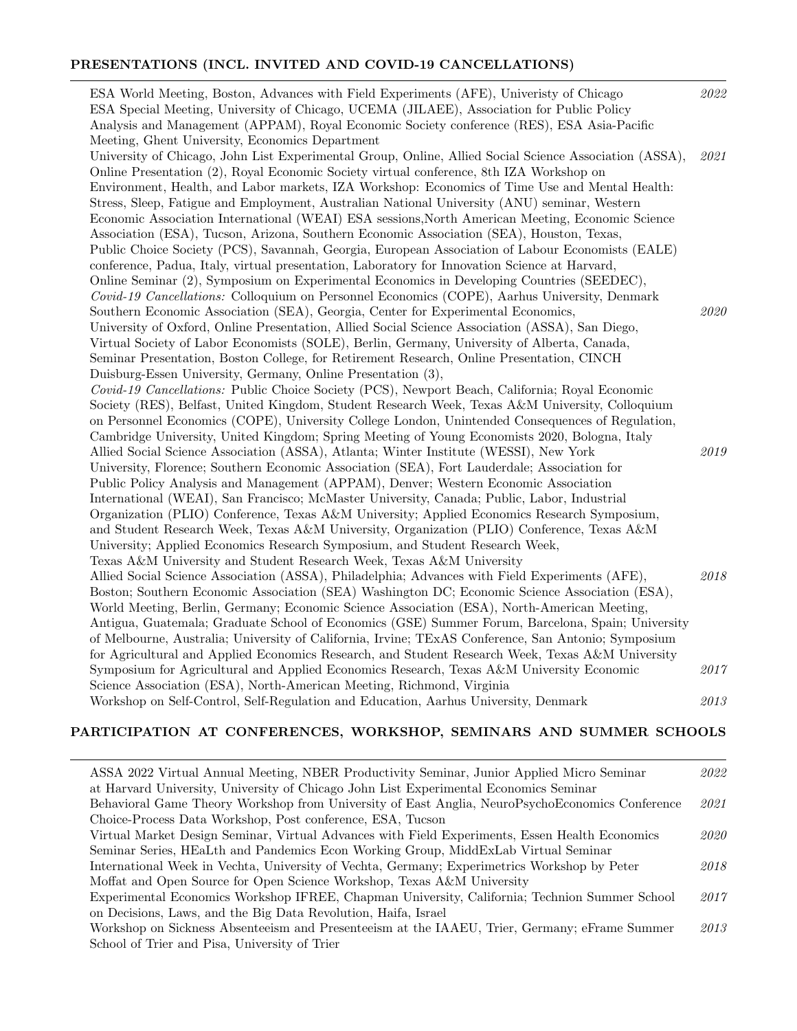# PRESENTATIONS (INCL. INVITED AND COVID-19 CANCELLATIONS)

| ESA World Meeting, Boston, Advances with Field Experiments (AFE), University of Chicago<br>ESA Special Meeting, University of Chicago, UCEMA (JILAEE), Association for Public Policy<br>Analysis and Management (APPAM), Royal Economic Society conference (RES), ESA Asia-Pacific                                                                                                                                                                                                                                                                                                                                                                                                                                                                                                                                                                                                                                                                                                                                                                                | 2022 |
|-------------------------------------------------------------------------------------------------------------------------------------------------------------------------------------------------------------------------------------------------------------------------------------------------------------------------------------------------------------------------------------------------------------------------------------------------------------------------------------------------------------------------------------------------------------------------------------------------------------------------------------------------------------------------------------------------------------------------------------------------------------------------------------------------------------------------------------------------------------------------------------------------------------------------------------------------------------------------------------------------------------------------------------------------------------------|------|
| Meeting, Ghent University, Economics Department<br>University of Chicago, John List Experimental Group, Online, Allied Social Science Association (ASSA),<br>Online Presentation (2), Royal Economic Society virtual conference, 8th IZA Workshop on<br>Environment, Health, and Labor markets, IZA Workshop: Economics of Time Use and Mental Health:<br>Stress, Sleep, Fatigue and Employment, Australian National University (ANU) seminar, Western<br>Economic Association International (WEAI) ESA sessions, North American Meeting, Economic Science<br>Association (ESA), Tucson, Arizona, Southern Economic Association (SEA), Houston, Texas,<br>Public Choice Society (PCS), Savannah, Georgia, European Association of Labour Economists (EALE)<br>conference, Padua, Italy, virtual presentation, Laboratory for Innovation Science at Harvard,<br>Online Seminar (2), Symposium on Experimental Economics in Developing Countries (SEEDEC),                                                                                                          | 2021 |
| Covid-19 Cancellations: Colloquium on Personnel Economics (COPE), Aarhus University, Denmark<br>Southern Economic Association (SEA), Georgia, Center for Experimental Economics,<br>University of Oxford, Online Presentation, Allied Social Science Association (ASSA), San Diego,<br>Virtual Society of Labor Economists (SOLE), Berlin, Germany, University of Alberta, Canada,<br>Seminar Presentation, Boston College, for Retirement Research, Online Presentation, CINCH<br>Duisburg-Essen University, Germany, Online Presentation (3),                                                                                                                                                                                                                                                                                                                                                                                                                                                                                                                   | 2020 |
| Covid-19 Cancellations: Public Choice Society (PCS), Newport Beach, California; Royal Economic<br>Society (RES), Belfast, United Kingdom, Student Research Week, Texas A&M University, Colloquium<br>on Personnel Economics (COPE), University College London, Unintended Consequences of Regulation,<br>Cambridge University, United Kingdom; Spring Meeting of Young Economists 2020, Bologna, Italy<br>Allied Social Science Association (ASSA), Atlanta; Winter Institute (WESSI), New York<br>University, Florence; Southern Economic Association (SEA), Fort Lauderdale; Association for<br>Public Policy Analysis and Management (APPAM), Denver; Western Economic Association<br>International (WEAI), San Francisco; McMaster University, Canada; Public, Labor, Industrial<br>Organization (PLIO) Conference, Texas A&M University; Applied Economics Research Symposium,<br>and Student Research Week, Texas A&M University, Organization (PLIO) Conference, Texas A&M<br>University; Applied Economics Research Symposium, and Student Research Week, | 2019 |
| Texas A&M University and Student Research Week, Texas A&M University<br>Allied Social Science Association (ASSA), Philadelphia; Advances with Field Experiments (AFE),<br>Boston; Southern Economic Association (SEA) Washington DC; Economic Science Association (ESA),<br>World Meeting, Berlin, Germany; Economic Science Association (ESA), North-American Meeting,<br>Antigua, Guatemala; Graduate School of Economics (GSE) Summer Forum, Barcelona, Spain; University<br>of Melbourne, Australia; University of California, Irvine; TExAS Conference, San Antonio; Symposium<br>for Agricultural and Applied Economics Research, and Student Research Week, Texas A&M University                                                                                                                                                                                                                                                                                                                                                                           | 2018 |
| Symposium for Agricultural and Applied Economics Research, Texas A&M University Economic<br>Science Association (ESA), North-American Meeting, Richmond, Virginia                                                                                                                                                                                                                                                                                                                                                                                                                                                                                                                                                                                                                                                                                                                                                                                                                                                                                                 | 2017 |
| Workshop on Self-Control, Self-Regulation and Education, Aarhus University, Denmark                                                                                                                                                                                                                                                                                                                                                                                                                                                                                                                                                                                                                                                                                                                                                                                                                                                                                                                                                                               | 2013 |

# PARTICIPATION AT CONFERENCES, WORKSHOP, SEMINARS AND SUMMER SCHOOLS

| ASSA 2022 Virtual Annual Meeting, NBER Productivity Seminar, Junior Applied Micro Seminar       | 2022 |
|-------------------------------------------------------------------------------------------------|------|
| at Harvard University, University of Chicago John List Experimental Economics Seminar           |      |
| Behavioral Game Theory Workshop from University of East Anglia, NeuroPsychoEconomics Conference | 2021 |
| Choice-Process Data Workshop, Post conference, ESA, Tucson                                      |      |
| Virtual Market Design Seminar, Virtual Advances with Field Experiments, Essen Health Economics  | 2020 |
| Seminar Series, HEaLth and Pandemics Econ Working Group, MiddExLab Virtual Seminar              |      |
| International Week in Vechta, University of Vechta, Germany; Experimetrics Workshop by Peter    | 2018 |
| Moffat and Open Source for Open Science Workshop, Texas A&M University                          |      |
| Experimental Economics Workshop IFREE, Chapman University, California; Technion Summer School   | 2017 |
| on Decisions, Laws, and the Big Data Revolution, Haifa, Israel                                  |      |
| Workshop on Sickness Absenteeism and Presenteeism at the IAAEU, Trier, Germany; eFrame Summer   | 2013 |
| School of Trier and Pisa, University of Trier                                                   |      |